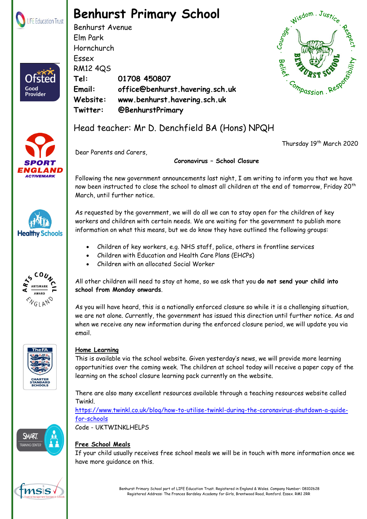

## **Benhurst Primary School**

Benhurst Avenue Elm Park Hornchurch Essex RM12 4QS **Tel: 01708 450807 Email: office@benhurst.havering.sch.uk Website: www.benhurst.havering.sch.uk Twitter: @BenhurstPrimary**





Good **Provider** 



Thursday 19<sup>th</sup> March 2020

Dear Parents and Carers,

**Coronavirus – School Closure**

Following the new government announcements last night, I am writing to inform you that we have now been instructed to close the school to almost all children at the end of tomorrow, Friday 20<sup>th</sup> March, until further notice.

As requested by the government, we will do all we can to stay open for the children of key workers and children with certain needs. We are waiting for the government to publish more information on what this means, but we do know they have outlined the following groups:

- Children of key workers, e.g. NHS staff, police, others in frontline services
- Children with Education and Health Care Plans (EHCPs)
- Children with an allocated Social Worker

All other children will need to stay at home, so we ask that you **do not send your child into school from Monday onwards**.

As you will have heard, this is a nationally enforced closure so while it is a challenging situation, we are not alone. Currently, the government has issued this direction until further notice. As and when we receive any new information during the enforced closure period, we will update you via email.



## **Home Learning**

This is available via the school website. Given yesterday's news, we will provide more learning opportunities over the coming week. The children at school today will receive a paper copy of the learning on the school closure learning pack currently on the website.

There are also many excellent resources available through a teaching resources website called Twinkl.

[https://www.twinkl.co.uk/blog/how-to-utilise-twinkl-during-the-coronavirus-shutdown-a-guide](https://www.twinkl.co.uk/blog/how-to-utilise-twinkl-during-the-coronavirus-shutdown-a-guide-for-schools)[for-schools](https://www.twinkl.co.uk/blog/how-to-utilise-twinkl-during-the-coronavirus-shutdown-a-guide-for-schools) Code - UKTWINKLHELPS

**SMART** N۱

## **Free School Meals**

If your child usually receives free school meals we will be in touch with more information once we have more guidance on this.